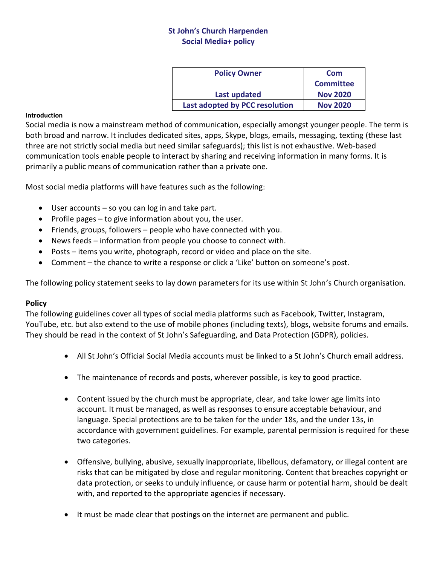# **St John's Church Harpenden Social Media+ policy**

| <b>Policy Owner</b>            | Com              |
|--------------------------------|------------------|
|                                | <b>Committee</b> |
| <b>Last updated</b>            | <b>Nov 2020</b>  |
| Last adopted by PCC resolution | <b>Nov 2020</b>  |

#### **Introduction**

Social media is now a mainstream method of communication, especially amongst younger people. The term is both broad and narrow. It includes dedicated sites, apps, Skype, blogs, emails, messaging, texting (these last three are not strictly social media but need similar safeguards); this list is not exhaustive. Web-based communication tools enable people to interact by sharing and receiving information in many forms. It is primarily a public means of communication rather than a private one.

Most social media platforms will have features such as the following:

- User accounts so you can log in and take part.
- Profile pages to give information about you, the user.
- Friends, groups, followers people who have connected with you.
- News feeds information from people you choose to connect with.
- Posts items you write, photograph, record or video and place on the site.
- Comment the chance to write a response or click a 'Like' button on someone's post.

The following policy statement seeks to lay down parameters for its use within St John's Church organisation.

### **Policy**

The following guidelines cover all types of social media platforms such as Facebook, Twitter, Instagram, YouTube, etc. but also extend to the use of mobile phones (including texts), blogs, website forums and emails. They should be read in the context of St John's Safeguarding, and Data Protection (GDPR), policies.

- All St John's Official Social Media accounts must be linked to a St John's Church email address.
- The maintenance of records and posts, wherever possible, is key to good practice.
- Content issued by the church must be appropriate, clear, and take lower age limits into account. It must be managed, as well as responses to ensure acceptable behaviour, and language. Special protections are to be taken for the under 18s, and the under 13s, in accordance with government guidelines. For example, parental permission is required for these two categories.
- Offensive, bullying, abusive, sexually inappropriate, libellous, defamatory, or illegal content are risks that can be mitigated by close and regular monitoring. Content that breaches copyright or data protection, or seeks to unduly influence, or cause harm or potential harm, should be dealt with, and reported to the appropriate agencies if necessary.
- It must be made clear that postings on the internet are permanent and public.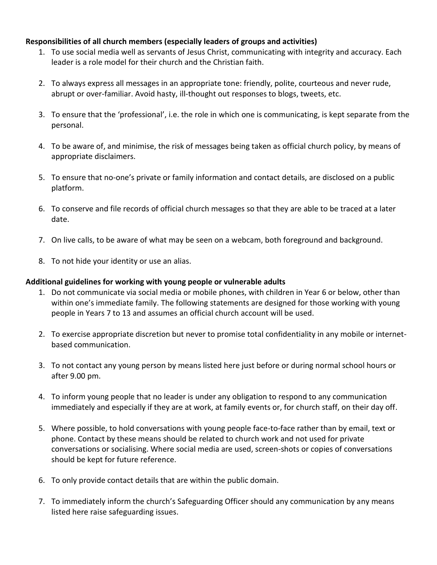### **Responsibilities of all church members (especially leaders of groups and activities)**

- 1. To use social media well as servants of Jesus Christ, communicating with integrity and accuracy. Each leader is a role model for their church and the Christian faith.
- 2. To always express all messages in an appropriate tone: friendly, polite, courteous and never rude, abrupt or over-familiar. Avoid hasty, ill-thought out responses to blogs, tweets, etc.
- 3. To ensure that the 'professional', i.e. the role in which one is communicating, is kept separate from the personal.
- 4. To be aware of, and minimise, the risk of messages being taken as official church policy, by means of appropriate disclaimers.
- 5. To ensure that no-one's private or family information and contact details, are disclosed on a public platform.
- 6. To conserve and file records of official church messages so that they are able to be traced at a later date.
- 7. On live calls, to be aware of what may be seen on a webcam, both foreground and background.
- 8. To not hide your identity or use an alias.

### **Additional guidelines for working with young people or vulnerable adults**

- 1. Do not communicate via social media or mobile phones, with children in Year 6 or below, other than within one's immediate family. The following statements are designed for those working with young people in Years 7 to 13 and assumes an official church account will be used.
- 2. To exercise appropriate discretion but never to promise total confidentiality in any mobile or internetbased communication.
- 3. To not contact any young person by means listed here just before or during normal school hours or after 9.00 pm.
- 4. To inform young people that no leader is under any obligation to respond to any communication immediately and especially if they are at work, at family events or, for church staff, on their day off.
- 5. Where possible, to hold conversations with young people face-to-face rather than by email, text or phone. Contact by these means should be related to church work and not used for private conversations or socialising. Where social media are used, screen-shots or copies of conversations should be kept for future reference.
- 6. To only provide contact details that are within the public domain.
- 7. To immediately inform the church's Safeguarding Officer should any communication by any means listed here raise safeguarding issues.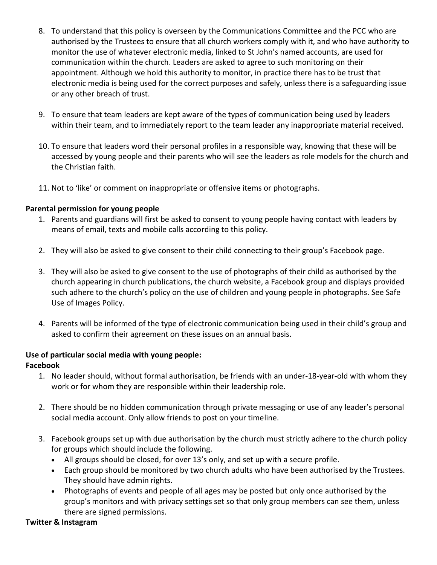- 8. To understand that this policy is overseen by the Communications Committee and the PCC who are authorised by the Trustees to ensure that all church workers comply with it, and who have authority to monitor the use of whatever electronic media, linked to St John's named accounts, are used for communication within the church. Leaders are asked to agree to such monitoring on their appointment. Although we hold this authority to monitor, in practice there has to be trust that electronic media is being used for the correct purposes and safely, unless there is a safeguarding issue or any other breach of trust.
- 9. To ensure that team leaders are kept aware of the types of communication being used by leaders within their team, and to immediately report to the team leader any inappropriate material received.
- 10. To ensure that leaders word their personal profiles in a responsible way, knowing that these will be accessed by young people and their parents who will see the leaders as role models for the church and the Christian faith.
- 11. Not to 'like' or comment on inappropriate or offensive items or photographs.

# **Parental permission for young people**

- 1. Parents and guardians will first be asked to consent to young people having contact with leaders by means of email, texts and mobile calls according to this policy.
- 2. They will also be asked to give consent to their child connecting to their group's Facebook page.
- 3. They will also be asked to give consent to the use of photographs of their child as authorised by the church appearing in church publications, the church website, a Facebook group and displays provided such adhere to the church's policy on the use of children and young people in photographs. See Safe Use of Images Policy.
- 4. Parents will be informed of the type of electronic communication being used in their child's group and asked to confirm their agreement on these issues on an annual basis.

# **Use of particular social media with young people:**

# **Facebook**

- 1. No leader should, without formal authorisation, be friends with an under-18-year-old with whom they work or for whom they are responsible within their leadership role.
- 2. There should be no hidden communication through private messaging or use of any leader's personal social media account. Only allow friends to post on your timeline.
- 3. Facebook groups set up with due authorisation by the church must strictly adhere to the church policy for groups which should include the following.
	- All groups should be closed, for over 13's only, and set up with a secure profile.
	- Each group should be monitored by two church adults who have been authorised by the Trustees. They should have admin rights.
	- Photographs of events and people of all ages may be posted but only once authorised by the group's monitors and with privacy settings set so that only group members can see them, unless there are signed permissions.

### **Twitter & Instagram**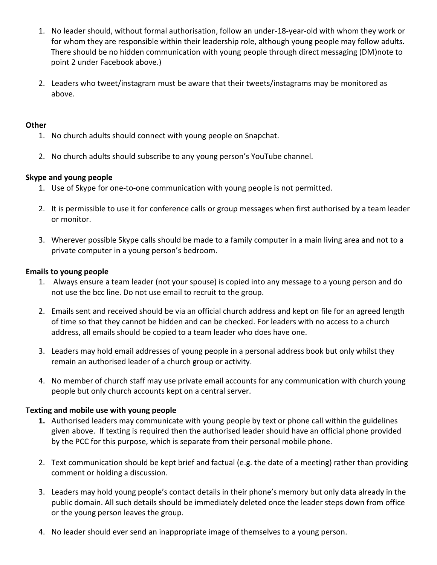- 1. No leader should, without formal authorisation, follow an under-18-year-old with whom they work or for whom they are responsible within their leadership role, although young people may follow adults. There should be no hidden communication with young people through direct messaging (DM)note to point 2 under Facebook above.)
- 2. Leaders who tweet/instagram must be aware that their tweets/instagrams may be monitored as above.

### **Other**

- 1. No church adults should connect with young people on Snapchat.
- 2. No church adults should subscribe to any young person's YouTube channel.

### **Skype and young people**

- 1. Use of Skype for one-to-one communication with young people is not permitted.
- 2. It is permissible to use it for conference calls or group messages when first authorised by a team leader or monitor.
- 3. Wherever possible Skype calls should be made to a family computer in a main living area and not to a private computer in a young person's bedroom.

### **Emails to young people**

- 1. Always ensure a team leader (not your spouse) is copied into any message to a young person and do not use the bcc line. Do not use email to recruit to the group.
- 2. Emails sent and received should be via an official church address and kept on file for an agreed length of time so that they cannot be hidden and can be checked. For leaders with no access to a church address, all emails should be copied to a team leader who does have one.
- 3. Leaders may hold email addresses of young people in a personal address book but only whilst they remain an authorised leader of a church group or activity.
- 4. No member of church staff may use private email accounts for any communication with church young people but only church accounts kept on a central server.

### **Texting and mobile use with young people**

- **1.** Authorised leaders may communicate with young people by text or phone call within the guidelines given above. If texting is required then the authorised leader should have an official phone provided by the PCC for this purpose, which is separate from their personal mobile phone.
- 2. Text communication should be kept brief and factual (e.g. the date of a meeting) rather than providing comment or holding a discussion.
- 3. Leaders may hold young people's contact details in their phone's memory but only data already in the public domain. All such details should be immediately deleted once the leader steps down from office or the young person leaves the group.
- 4. No leader should ever send an inappropriate image of themselves to a young person.